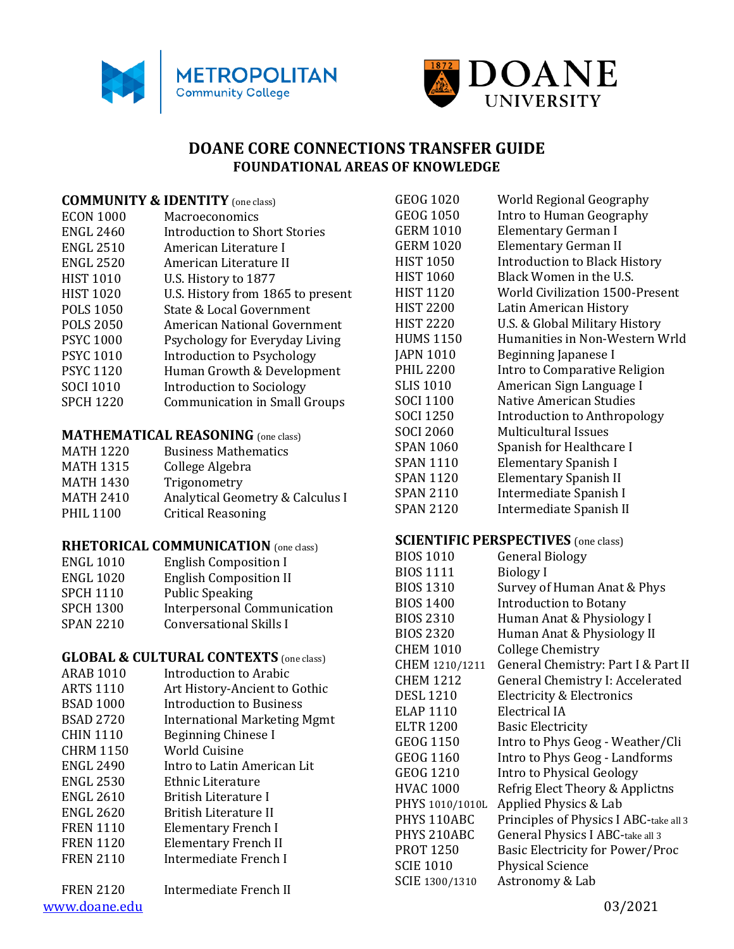



# **DOANE CORE CONNECTIONS TRANSFER GUIDE FOUNDATIONAL AREAS OF KNOWLEDGE**

#### **COMMUNITY & IDENTITY** (one class)

| <b>ECON 1000</b> | Macroeconomics                       |
|------------------|--------------------------------------|
| <b>ENGL 2460</b> | Introduction to Short Stories        |
| <b>ENGL 2510</b> | American Literature I                |
| <b>ENGL 2520</b> | American Literature II               |
| <b>HIST 1010</b> | U.S. History to 1877                 |
| <b>HIST 1020</b> | U.S. History from 1865 to present    |
| <b>POLS 1050</b> | State & Local Government             |
| <b>POLS 2050</b> | American National Government         |
| <b>PSYC 1000</b> | Psychology for Everyday Living       |
| <b>PSYC 1010</b> | Introduction to Psychology           |
| <b>PSYC 1120</b> | Human Growth & Development           |
| <b>SOCI 1010</b> | Introduction to Sociology            |
| <b>SPCH 1220</b> | <b>Communication in Small Groups</b> |
|                  |                                      |

#### **MATHEMATICAL REASONING** (one class)

| <b>MATH 1220</b> | <b>Business Mathematics</b>      |
|------------------|----------------------------------|
| <b>MATH 1315</b> | College Algebra                  |
| <b>MATH 1430</b> | Trigonometry                     |
| <b>MATH 2410</b> | Analytical Geometry & Calculus I |
| <b>PHIL 1100</b> | <b>Critical Reasoning</b>        |
|                  |                                  |

#### **RHETORICAL COMMUNICATION** (one class)

| <b>ENGL 1010</b> | <b>English Composition I</b>       |
|------------------|------------------------------------|
| <b>ENGL 1020</b> | <b>English Composition II</b>      |
| <b>SPCH 1110</b> | <b>Public Speaking</b>             |
| <b>SPCH 1300</b> | <b>Interpersonal Communication</b> |
| <b>SPAN 2210</b> | <b>Conversational Skills I</b>     |

#### **GLOBAL & CULTURAL CONTEXTS** (one class)

- ARAB 1010 Introduction to Arabic ARTS 1110 Art History-Ancient to Gothic BSAD 1000 Introduction to Business BSAD 2720 International Marketing Mgmt CHIN 1110 Beginning Chinese I CHRM 1150 World Cuisine ENGL 2490 Intro to Latin American Lit ENGL 2530 Ethnic Literature ENGL 2610 British Literature I ENGL 2620 British Literature II FREN 1110 Elementary French I FREN 1120 Elementary French II
- FREN 2110 Intermediate French I

[www.doane.edu](http://www.doane.edu/) 03/2021 FREN 2120 Intermediate French II

GEOG 1020 World Regional Geography GEOG 1050 Intro to Human Geography GERM 1010 Elementary German I GERM 1020 Elementary German II HIST 1050 Introduction to Black History HIST 1060 Black Women in the U.S. HIST 1120 World Civilization 1500-Present HIST 2200 Latin American History HIST 2220 U.S. & Global Military History HUMS 1150 Humanities in Non-Western Wrld JAPN 1010 Beginning Japanese I PHIL 2200 Intro to Comparative Religion SLIS 1010 American Sign Language I SOCI 1100 Native American Studies SOCI 1250 Introduction to Anthropology SOCI 2060 Multicultural Issues SPAN 1060 Spanish for Healthcare I SPAN 1110 Elementary Spanish I SPAN 1120 Elementary Spanish II SPAN 2110 Intermediate Spanish I SPAN 2120 Intermediate Spanish II

#### **SCIENTIFIC PERSPECTIVES** (one class)

| <b>BIOS 1010</b> | <b>General Biology</b>                 |
|------------------|----------------------------------------|
| <b>BIOS 1111</b> | <b>Biology</b> I                       |
| <b>BIOS 1310</b> | Survey of Human Anat & Phys            |
| <b>BIOS 1400</b> | Introduction to Botany                 |
| <b>BIOS 2310</b> | Human Anat & Physiology I              |
| <b>BIOS 2320</b> | Human Anat & Physiology II             |
| <b>CHEM 1010</b> | College Chemistry                      |
| CHEM 1210/1211   | General Chemistry: Part I & Part II    |
| <b>CHEM 1212</b> | General Chemistry I: Accelerated       |
| <b>DESL 1210</b> | <b>Electricity &amp; Electronics</b>   |
| ELAP 1110        | Electrical IA                          |
| <b>ELTR 1200</b> | <b>Basic Electricity</b>               |
| <b>GEOG 1150</b> | Intro to Phys Geog - Weather/Cli       |
| <b>GEOG 1160</b> | Intro to Phys Geog - Landforms         |
| <b>GEOG 1210</b> | Intro to Physical Geology              |
| <b>HVAC 1000</b> | Refrig Elect Theory & Applictns        |
| PHYS 1010/1010L  | Applied Physics & Lab                  |
| PHYS 110ABC      | Principles of Physics I ABC-take all 3 |
| PHYS 210ABC      | General Physics I ABC-take all 3       |
| <b>PROT 1250</b> | Basic Electricity for Power/Proc       |
| <b>SCIE 1010</b> | <b>Physical Science</b>                |
| SCIE 1300/1310   | Astronomy & Lab                        |
|                  |                                        |